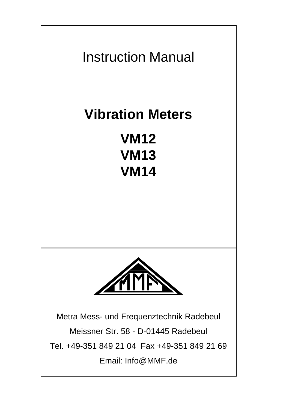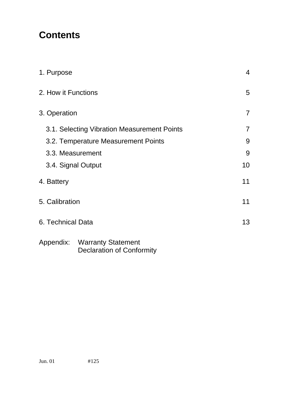# **Contents**

| 1. Purpose                                  |                                                           | 4              |
|---------------------------------------------|-----------------------------------------------------------|----------------|
| 2. How it Functions                         |                                                           | 5              |
| 3. Operation                                |                                                           | $\overline{7}$ |
| 3.1. Selecting Vibration Measurement Points |                                                           | $\overline{7}$ |
| 3.2. Temperature Measurement Points         |                                                           | 9              |
| 3.3. Measurement                            |                                                           | 9              |
| 3.4. Signal Output                          |                                                           | 10             |
| 4. Battery                                  |                                                           | 11             |
| 5. Calibration                              |                                                           | 11             |
| 6. Technical Data                           |                                                           | 13             |
|                                             | Appendix: Warranty Statement<br>Declaration of Conformity |                |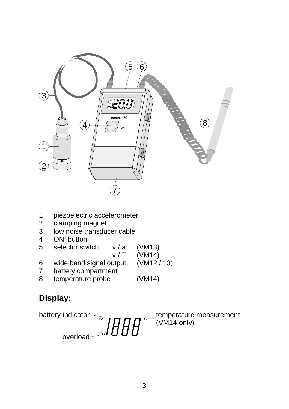

- 1 piezoelectric accelerometer<br>2 clamping magnet
- 2 clamping magnet<br>3 low noise transdue
- 3 low noise transducer cable<br>4 ON button
- ON button
- 5 selector switch v / a (VM13)
	-
- v / T (VM14)<br>utput (VM12 / 13)  $6$  wide band signal output
- 7 battery compartment
- 8 temperature probe (VM14)

# **Display:**

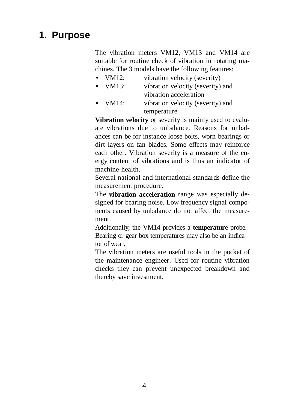# **1. Purpose**

The vibration meters VM12, VM13 and VM14 are suitable for routine check of vibration in rotating machines. The 3 models have the following features:

- VM12: vibration velocity (severity)
- VM13: vibration velocity (severity) and vibration acceleration • VM14: vibration velocity (severity) and temperature

**Vibration velocity** or severity is mainly used to evaluate vibrations due to unbalance. Reasons for unbalances can be for instance loose bolts, worn bearings or dirt layers on fan blades. Some effects may reinforce each other. Vibration severity is a measure of the energy content of vibrations and is thus an indicator of machine-health.

Several national and international standards define the measurement procedure.

The **vibration acceleration** range was especially designed for bearing noise. Low frequency signal components caused by unbalance do not affect the measurement.

Additionally, the VM14 provides a **temperature** probe. Bearing or gear box temperatures may also be an indicator of wear.

The vibration meters are useful tools in the pocket of the maintenance engineer. Used for routine vibration checks they can prevent unexpected breakdown and thereby save investment.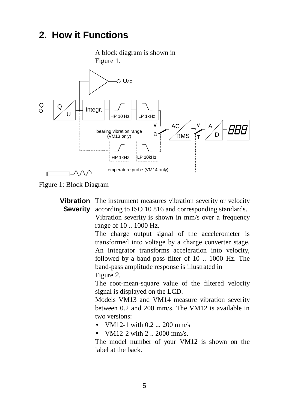# **2. How it Functions**





Figure 1: Block Diagram

**Vibration** The instrument measures vibration severity or velocity **Severity** according to ISO 10 816 and corresponding standards. Vibration severity is shown in mm/s over a frequency range of 10 .. 1000 Hz.

The charge output signal of the accelerometer is transformed into voltage by a charge converter stage. An integrator transforms acceleration into velocity, followed by a band-pass filter of 10 .. 1000 Hz. The band-pass amplitude response is illustrated in Figure 2.

The root-mean-square value of the filtered velocity signal is displayed on the LCD.

Models VM13 and VM14 measure vibration severity between 0.2 and 200 mm/s. The VM12 is available in two versions:

- VM12-1 with 0.2 ... 200 mm/s
- VM12-2 with 2 .. 2000 mm/s.

The model number of your VM12 is shown on the label at the back.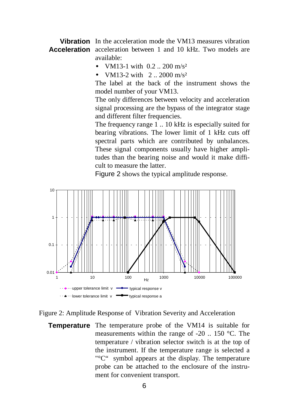**Vibration** In the acceleration mode the VM13 measures vibration **Acceleration** acceleration between 1 and 10 kHz. Two models are available:

- VM13-1 with  $0.2 \div 200$  m/s<sup>2</sup>
- VM13-2 with  $2.2000$  m/s<sup>2</sup>

The label at the back of the instrument shows the model number of your VM13.

The only differences between velocity and acceleration signal processing are the bypass of the integrator stage and different filter frequencies.

The frequency range 1 .. 10 kHz is especially suited for bearing vibrations. The lower limit of 1 kHz cuts off spectral parts which are contributed by unbalances. These signal components usually have higher amplitudes than the bearing noise and would it make difficult to measure the latter.

Figure 2 shows the typical amplitude response.



#### Figure 2: Amplitude Response of Vibration Severity and Acceleration

**Temperature** The temperature probe of the VM14 is suitable for measurements within the range of -20 .. 150 °C. The temperature / vibration selector switch is at the top of the instrument. If the temperature range is selected a "°C" symbol appears at the display. The temperature probe can be attached to the enclosure of the instrument for convenient transport.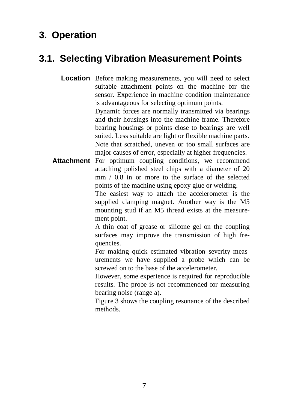# **3. Operation**

# **3.1. Selecting Vibration Measurement Points**

**Location** Before making measurements, you will need to select suitable attachment points on the machine for the sensor. Experience in machine condition maintenance is advantageous for selecting optimum points. Dynamic forces are normally transmitted via bearings and their housings into the machine frame. Therefore bearing housings or points close to bearings are well

> suited. Less suitable are light or flexible machine parts. Note that scratched, uneven or too small surfaces are major causes of error, especially at higher frequencies.

Attachment For optimum coupling conditions, we recommend attaching polished steel chips with a diameter of 20 mm / 0.8 in or more to the surface of the selected points of the machine using epoxy glue or welding.

> The easiest way to attach the accelerometer is the supplied clamping magnet. Another way is the M5 mounting stud if an M5 thread exists at the measurement point.

> A thin coat of grease or silicone gel on the coupling surfaces may improve the transmission of high frequencies.

> For making quick estimated vibration severity measurements we have supplied a probe which can be screwed on to the base of the accelerometer.

> However, some experience is required for reproducible results. The probe is not recommended for measuring bearing noise (range a).

> Figure 3 shows the coupling resonance of the described methods.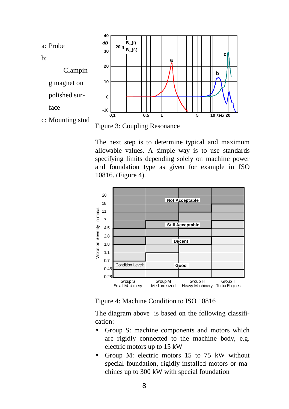

The next step is to determine typical and maximum allowable values. A simple way is to use standards specifying limits depending solely on machine power and foundation type as given for example in ISO 10816. (Figure 4).



Figure 4: Machine Condition to ISO 10816

The diagram above is based on the following classification:

- Group S: machine components and motors which are rigidly connected to the machine body, e.g. electric motors up to 15 kW
- Group M: electric motors 15 to 75 kW without special foundation, rigidly installed motors or machines up to 300 kW with special foundation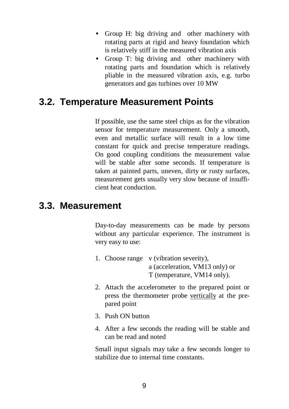- Group H: big driving and other machinery with rotating parts at rigid and heavy foundation which is relatively stiff in the measured vibration axis
- Group T: big driving and other machinery with rotating parts and foundation which is relatively pliable in the measured vibration axis, e.g. turbo generators and gas turbines over 10 MW

# **3.2. Temperature Measurement Points**

If possible, use the same steel chips as for the vibration sensor for temperature measurement. Only a smooth, even and metallic surface will result in a low time constant for quick and precise temperature readings. On good coupling conditions the measurement value will be stable after some seconds. If temperature is taken at painted parts, uneven, dirty or rusty surfaces, measurement gets usually very slow because of insufficient heat conduction.

## **3.3. Measurement**

Day-to-day measurements can be made by persons without any particular experience. The instrument is very easy to use:

- 1. Choose range v (vibration severity), a (acceleration, VM13 only) or T (temperature, VM14 only).
- 2. Attach the accelerometer to the prepared point or press the thermometer probe vertically at the prepared point
- 3. Push ON button
- 4. After a few seconds the reading will be stable and can be read and noted

Small input signals may take a few seconds longer to stabilize due to internal time constants.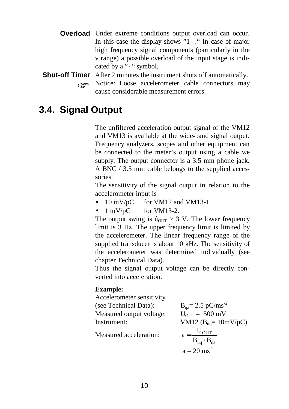**Overload** Under extreme conditions output overload can occur. In this case the display shows "1 ." In case of major high frequency signal components (particularly in the v range) a possible overload of the input stage is indicated by a " $\sim$ " symbol.

#### **Shut-off Timer** After 2 minutes the instrument shuts off automatically. Notice: Loose accelerometer cable connectors may cause considerable measurement errors.

## **3.4. Signal Output**

The unfiltered acceleration output signal of the VM12 and VM13 is available at the wide-band signal output. Frequency analyzers, scopes and other equipment can be connected to the meter's output using a cable we supply. The output connector is a 3.5 mm phone jack. A BNC / 3.5 mm cable belongs to the supplied accessories.

The sensitivity of the signal output in relation to the accelerometer input is

- $10 \text{ mV/pC}$  for VM12 and VM13-1
- $1 \text{ mV/pC}$  for VM13-2.

The output swing is  $\hat{u}_{\text{OUT}} > 3$  V. The lower frequency limit is 3 Hz. The upper frequency limit is limited by the accelerometer. The linear frequency range of the supplied transducer is about 10 kHz. The sensitivity of the accelerometer was determined individually (see chapter Technical Data).

Thus the signal output voltage can be directly converted into acceleration.

#### **Example:**

Accelerometer sensitivity (see Technical Data): Measured output voltage: Instrument:

Measured acceleration:

$$
B_{qa} = 2.5 \text{ pC/ms}^2
$$
  
\n
$$
U_{OUT} = 500 \text{ mV}
$$
  
\n
$$
VM12 (B_{uq} = 10 \text{ mV/pC})
$$
  
\n
$$
a = \frac{U_{OUT}}{B_{uq} \cdot B_{qa}}
$$
  
\n
$$
\underline{a = 20 \text{ ms}^2}
$$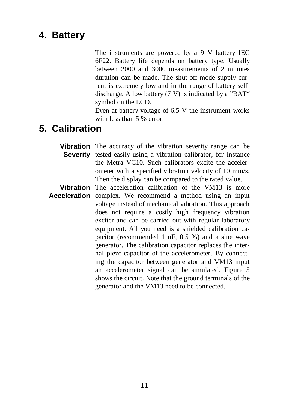# **4. Battery**

The instruments are powered by a 9 V battery IEC 6F22. Battery life depends on battery type. Usually between 2000 and 3000 measurements of 2 minutes duration can be made. The shut-off mode supply current is extremely low and in the range of battery selfdischarge. A low battery (7 V) is indicated by a "BAT" symbol on the LCD.

Even at battery voltage of 6.5 V the instrument works with less than 5 % error.

# **5. Calibration**

**Vibration** The accuracy of the vibration severity range can be Severity tested easily using a vibration calibrator, for instance the Metra VC10. Such calibrators excite the accelerometer with a specified vibration velocity of 10 mm/s. Then the display can be compared to the rated value.

**Vibration** The acceleration calibration of the VM13 is more **Acceleration** complex. We recommend a method using an input voltage instead of mechanical vibration. This approach does not require a costly high frequency vibration exciter and can be carried out with regular laboratory equipment. All you need is a shielded calibration capacitor (recommended 1 nF, 0.5 %) and a sine wave generator. The calibration capacitor replaces the internal piezo-capacitor of the accelerometer. By connecting the capacitor between generator and VM13 input an accelerometer signal can be simulated. Figure 5 shows the circuit. Note that the ground terminals of the generator and the VM13 need to be connected.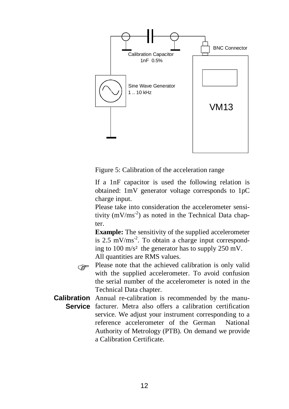

Figure 5: Calibration of the acceleration range

If a 1nF capacitor is used the following relation is obtained: 1mV generator voltage corresponds to 1pC charge input.

Please take into consideration the accelerometer sensitivity  $(mV/ms^{-2})$  as noted in the Technical Data chapter.

**Example:** The sensitivity of the supplied accelerometer is  $2.5 \text{ mV}$ /ms<sup>-2</sup>. To obtain a charge input corresponding to 100 m/s² the generator has to supply 250 mV. All quantities are RMS values.

 $\overline{a}$ Please note that the achieved calibration is only valid<br>with the symplical accelerancter. To such academics with the supplied accelerometer. To avoid confusion the serial number of the accelerometer is noted in the Technical Data chapter.

**Calibration** Annual re-calibration is recommended by the manu-**Service** facturer. Metra also offers a calibration certification service. We adjust your instrument corresponding to a reference accelerometer of the German National Authority of Metrology (PTB). On demand we provide a Calibration Certificate.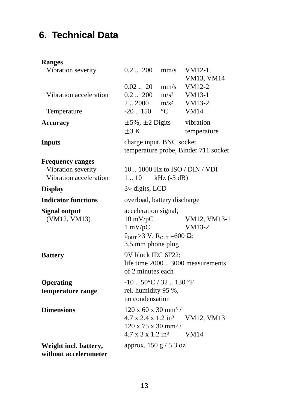# **6. Technical Data**

#### **Ranges**

| Vibration severity         | $0.2$ $\ldots$ 200<br>mm/s                                                       | VM12-1,<br>VM13, VM14             |  |
|----------------------------|----------------------------------------------------------------------------------|-----------------------------------|--|
|                            | $0.02$ $\dots$ 20                                                                | VM12-2<br>mm/s                    |  |
| Vibration acceleration     | $0.2$ 200                                                                        | $m/s^2$<br>VM13-1                 |  |
|                            | 22000<br>$m/s^2$                                                                 | VM13-2                            |  |
| Temperature                | $-20.150$<br>$\rm ^{\circ}C$                                                     | <b>VM14</b>                       |  |
| <b>Accuracy</b>            | $\pm$ 5%, $\pm$ 2 Digits<br>±3 K                                                 | vibration<br>temperature          |  |
| <b>Inputs</b>              | charge input, BNC socket<br>temperature probe, Binder 711 socket                 |                                   |  |
| <b>Frequency ranges</b>    |                                                                                  |                                   |  |
| Vibration severity         | 10  1000 Hz to ISO / DIN / VDI                                                   |                                   |  |
| Vibration acceleration     | 1.10                                                                             | $kHz$ (-3 dB)                     |  |
| <b>Display</b>             | $3\frac{1}{2}$ digits, LCD                                                       |                                   |  |
| <b>Indicator functions</b> | overload, battery discharge                                                      |                                   |  |
| <b>Signal output</b>       | acceleration signal,                                                             |                                   |  |
| (VM12, VM13)               | $10 \text{ mV/pC}$                                                               | VM12, VM13-1                      |  |
|                            | $1 \text{ mV/pC}$                                                                | VM13-2                            |  |
|                            | $\hat{u}_{OUT} > 3 \text{ V}, \text{R}_{OUT} = 600 \Omega;$<br>3.5 mm phone plug |                                   |  |
| <b>Battery</b>             | 9V block IEC 6F22;                                                               |                                   |  |
|                            | of 2 minutes each                                                                | life time 2000  3000 measurements |  |
| <b>Operating</b>           | $-10$ $50^{\circ}$ C / 32 130 °F                                                 |                                   |  |
| temperature range          | rel. humidity 95 %,<br>no condensation                                           |                                   |  |
| <b>Dimensions</b>          | $120 \times 60 \times 30 \text{ mm}^3$ /                                         |                                   |  |
|                            | 4.7 x 2.4 x 1.2 in <sup>3</sup>                                                  | VM12, VM13                        |  |
|                            | $120 \times 75 \times 30 \text{ mm}^3$ /                                         |                                   |  |
|                            | $4.7 \times 3 \times 1.2$ in <sup>3</sup>                                        | <b>VM14</b>                       |  |
| Weight incl. battery,      | approx. 150 g / 5.3 oz                                                           |                                   |  |
| without accelerometer      |                                                                                  |                                   |  |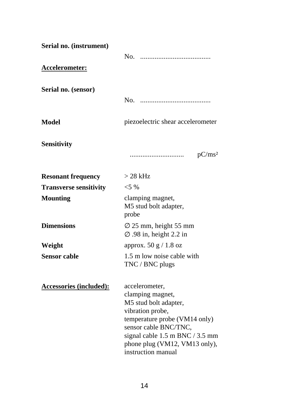| Serial no. (instrument)        |                                                                                                                                                                                                                                     |  |  |
|--------------------------------|-------------------------------------------------------------------------------------------------------------------------------------------------------------------------------------------------------------------------------------|--|--|
|                                | No.                                                                                                                                                                                                                                 |  |  |
| Accelerometer:                 |                                                                                                                                                                                                                                     |  |  |
| Serial no. (sensor)            |                                                                                                                                                                                                                                     |  |  |
|                                | No.                                                                                                                                                                                                                                 |  |  |
| Model                          | piezoelectric shear accelerometer                                                                                                                                                                                                   |  |  |
| <b>Sensitivity</b>             |                                                                                                                                                                                                                                     |  |  |
|                                | pC/ms <sup>2</sup>                                                                                                                                                                                                                  |  |  |
| <b>Resonant frequency</b>      | > 28 kHz                                                                                                                                                                                                                            |  |  |
| <b>Transverse sensitivity</b>  | $<$ 5 %                                                                                                                                                                                                                             |  |  |
| <b>Mounting</b>                | clamping magnet,<br>M5 stud bolt adapter,<br>probe                                                                                                                                                                                  |  |  |
| <b>Dimensions</b>              | $\varnothing$ 25 mm, height 55 mm<br>$\varnothing$ .98 in, height 2.2 in                                                                                                                                                            |  |  |
| Weight                         | approx. $50 g / 1.8 oz$                                                                                                                                                                                                             |  |  |
| <b>Sensor cable</b>            | 1.5 m low noise cable with<br>TNC / BNC plugs                                                                                                                                                                                       |  |  |
| <b>Accessories (included):</b> | accelerometer,<br>clamping magnet,<br>M5 stud bolt adapter,<br>vibration probe,<br>temperature probe (VM14 only)<br>sensor cable BNC/TNC,<br>signal cable 1.5 m BNC / 3.5 mm<br>phone plug (VM12, VM13 only),<br>instruction manual |  |  |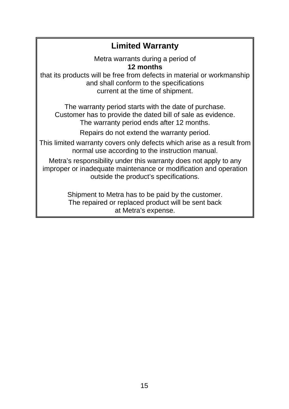## **Limited Warranty**

Metra warrants during a period of **12 months**

that its products will be free from defects in material or workmanship and shall conform to the specifications current at the time of shipment.

The warranty period starts with the date of purchase. Customer has to provide the dated bill of sale as evidence. The warranty period ends after 12 months.

Repairs do not extend the warranty period.

This limited warranty covers only defects which arise as a result from normal use according to the instruction manual.

Metra's responsibility under this warranty does not apply to any improper or inadequate maintenance or modification and operation outside the product's specifications.

> Shipment to Metra has to be paid by the customer. The repaired or replaced product will be sent back at Metra's expense.